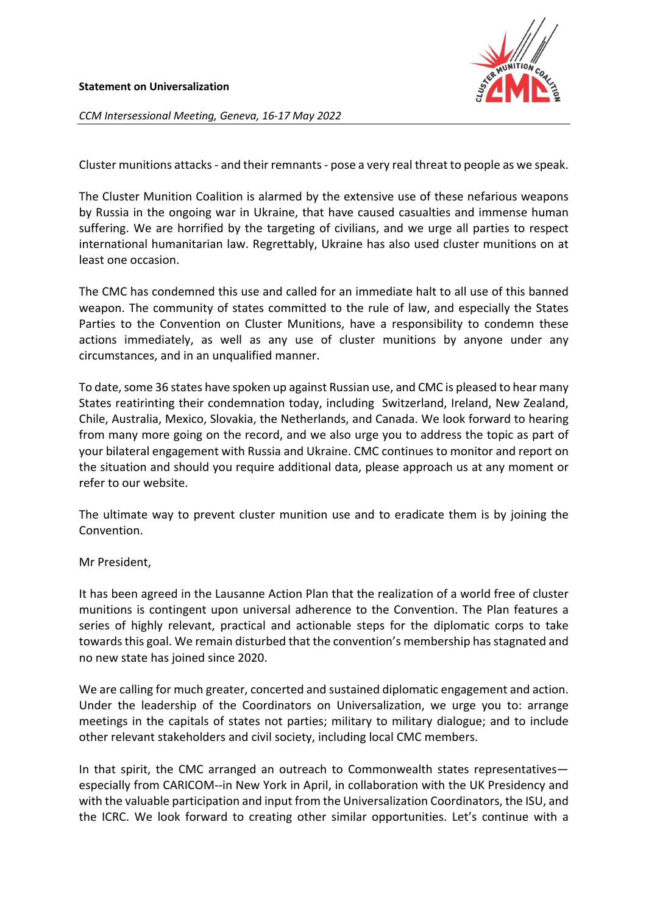

*CCM Intersessional Meeting, Geneva, 16-17 May 2022*

Cluster munitions attacks - and their remnants - pose a very real threat to people as we speak.

The Cluster Munition Coalition is alarmed by the extensive use of these nefarious weapons by Russia in the ongoing war in Ukraine, that have caused casualties and immense human suffering. We are horrified by the targeting of civilians, and we urge all parties to respect international humanitarian law. Regrettably, Ukraine has also used cluster munitions on at least one occasion.

The CMC has condemned this use and called for an immediate halt to all use of this banned weapon. The community of states committed to the rule of law, and especially the States Parties to the Convention on Cluster Munitions, have a responsibility to condemn these actions immediately, as well as any use of cluster munitions by anyone under any circumstances, and in an unqualified manner.

To date, some 36 states have spoken up against Russian use, and CMC is pleased to hear many States reatirinting their condemnation today, including Switzerland, Ireland, New Zealand, Chile, Australia, Mexico, Slovakia, the Netherlands, and Canada. We look forward to hearing from many more going on the record, and we also urge you to address the topic as part of your bilateral engagement with Russia and Ukraine. CMC continues to monitor and report on the situation and should you require additional data, please approach us at any moment or refer to our website.

The ultimate way to prevent cluster munition use and to eradicate them is by joining the Convention.

Mr President,

It has been agreed in the Lausanne Action Plan that the realization of a world free of cluster munitions is contingent upon universal adherence to the Convention. The Plan features a series of highly relevant, practical and actionable steps for the diplomatic corps to take towards this goal. We remain disturbed that the convention's membership has stagnated and no new state has joined since 2020.

We are calling for much greater, concerted and sustained diplomatic engagement and action. Under the leadership of the Coordinators on Universalization, we urge you to: arrange meetings in the capitals of states not parties; military to military dialogue; and to include other relevant stakeholders and civil society, including local CMC members.

In that spirit, the CMC arranged an outreach to Commonwealth states representatives especially from CARICOM--in New York in April, in collaboration with the UK Presidency and with the valuable participation and input from the Universalization Coordinators, the ISU, and the ICRC. We look forward to creating other similar opportunities. Let's continue with a